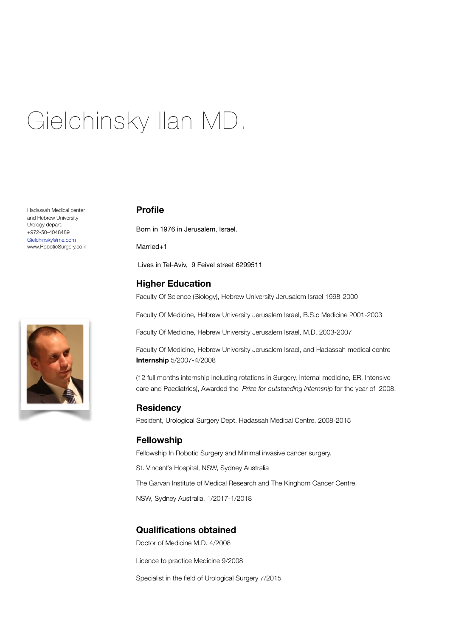# Gielchinsky Ilan MD.

Hadassah Medical center and Hebrew University Urology depart. +972-50-4048489 [Gielchinsky@me.com](mailto:Gielchinsky@me.com) www.RoboticSurgery.co.il



## **Profile**

Born in 1976 in Jerusalem, Israel.

Married<sub>+1</sub>

Lives in Tel-Aviv, 9 Feivel street 6299511

## **Higher Education**

Faculty Of Science (Biology), Hebrew University Jerusalem Israel 1998-2000

Faculty Of Medicine, Hebrew University Jerusalem Israel, B.S.c Medicine 2001-2003

Faculty Of Medicine, Hebrew University Jerusalem Israel, M.D. 2003-2007

Faculty Of Medicine, Hebrew University Jerusalem Israel, and Hadassah medical centre **Internship** 5/2007-4/2008

(12 full months internship including rotations in Surgery, Internal medicine, ER, Intensive care and Paediatrics), Awarded the *Prize for outstanding internship* for the year of 2008.

#### **Residency**

Resident, Urological Surgery Dept. Hadassah Medical Centre. 2008-2015

#### **Fellowship**

Fellowship In Robotic Surgery and Minimal invasive cancer surgery.

St. Vincent's Hospital, NSW, Sydney Australia

The Garvan Institute of Medical Research and The Kinghorn Cancer Centre,

NSW, Sydney Australia. 1/2017-1/2018

## **Qualifications obtained**

Doctor of Medicine M.D. 4/2008

Licence to practice Medicine 9/2008

Specialist in the field of Urological Surgery 7/2015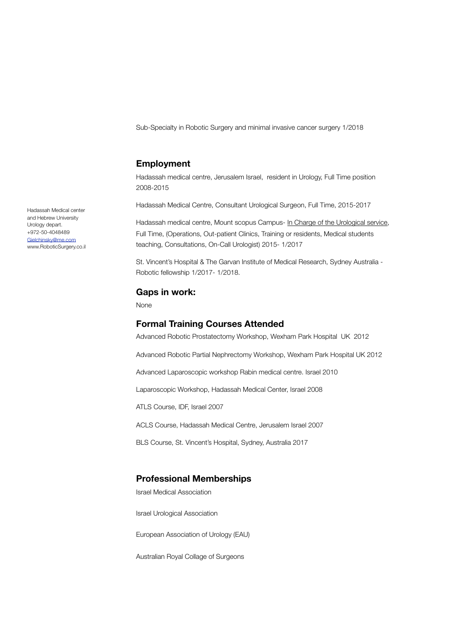Sub-Specialty in Robotic Surgery and minimal invasive cancer surgery 1/2018

### **Employment**

Hadassah medical centre, Jerusalem Israel, resident in Urology, Full Time position 2008-2015

Hadassah Medical Centre, Consultant Urological Surgeon, Full Time, 2015-2017

Hadassah medical centre, Mount scopus Campus- In Charge of the Urological service, Full Time, (Operations, Out-patient Clinics, Training or residents, Medical students teaching, Consultations, On-Call Urologist) 2015- 1/2017

St. Vincent's Hospital & The Garvan Institute of Medical Research, Sydney Australia - Robotic fellowship 1/2017- 1/2018.

#### **Gaps in work:**

None

#### **Formal Training Courses Attended**

Advanced Robotic Prostatectomy Workshop, Wexham Park Hospital UK 2012

Advanced Robotic Partial Nephrectomy Workshop, Wexham Park Hospital UK 2012

Advanced Laparoscopic workshop Rabin medical centre. Israel 2010

Laparoscopic Workshop, Hadassah Medical Center, Israel 2008

ATLS Course, IDF, Israel 2007

ACLS Course, Hadassah Medical Centre, Jerusalem Israel 2007

BLS Course, St. Vincent's Hospital, Sydney, Australia 2017

## **Professional Memberships**

Israel Medical Association

Israel Urological Association

European Association of Urology (EAU)

Australian Royal Collage of Surgeons

Hadassah Medical center and Hebrew University Urology depart. +972-50-4048489 [Gielchinsky@me.com](mailto:Gielchinsky@me.com) www.RoboticSurgery.co.il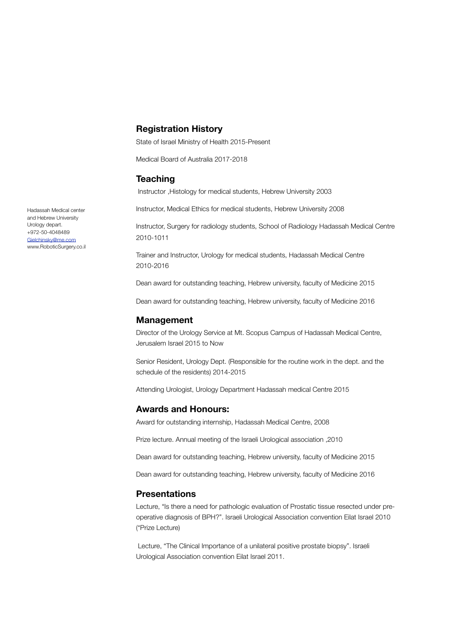## **Registration History**

State of Israel Ministry of Health 2015-Present

Medical Board of Australia 2017-2018

## **Teaching**

Instructor ,Histology for medical students, Hebrew University 2003

Instructor, Medical Ethics for medical students, Hebrew University 2008

Instructor, Surgery for radiology students, School of Radiology Hadassah Medical Centre 2010-1011

Trainer and Instructor, Urology for medical students, Hadassah Medical Centre 2010-2016

Dean award for outstanding teaching, Hebrew university, faculty of Medicine 2015

Dean award for outstanding teaching, Hebrew university, faculty of Medicine 2016

#### **Management**

Director of the Urology Service at Mt. Scopus Campus of Hadassah Medical Centre, Jerusalem Israel 2015 to Now

Senior Resident, Urology Dept. (Responsible for the routine work in the dept. and the schedule of the residents) 2014-2015

Attending Urologist, Urology Department Hadassah medical Centre 2015

#### **Awards and Honours:**

Award for outstanding internship, Hadassah Medical Centre, 2008

Prize lecture. Annual meeting of the Israeli Urological association ,2010

Dean award for outstanding teaching, Hebrew university, faculty of Medicine 2015

Dean award for outstanding teaching, Hebrew university, faculty of Medicine 2016

#### **Presentations**

Lecture, "Is there a need for pathologic evaluation of Prostatic tissue resected under preoperative diagnosis of BPH?". Israeli Urological Association convention Eilat Israel 2010 (\*Prize Lecture)

 Lecture, "The Clinical Importance of a unilateral positive prostate biopsy". Israeli Urological Association convention Eilat Israel 2011.

Hadassah Medical center and Hebrew University Urology depart. +972-50-4048489 [Gielchinsky@me.com](mailto:Gielchinsky@me.com) www.RoboticSurgery.co.il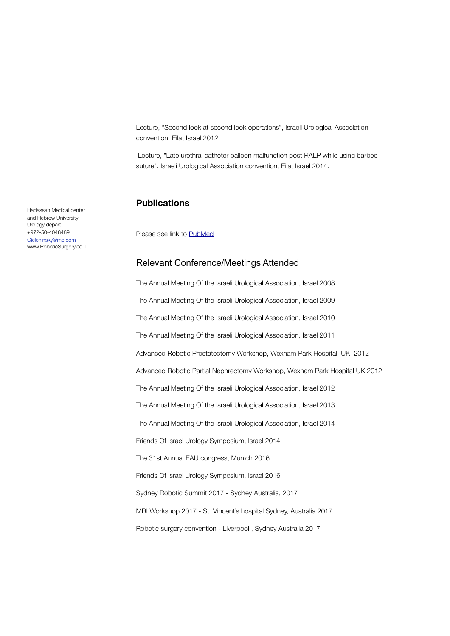Lecture, "Second look at second look operations", Israeli Urological Association convention, Eilat Israel 2012

 Lecture, "Late urethral catheter balloon malfunction post RALP while using barbed suture". Israeli Urological Association convention, Eilat Israel 2014.

#### **Publications**

Please see link to [PubMed](https://www.ncbi.nlm.nih.gov/pubmed/?term=ilan+gielchinsky)

## Relevant Conference/Meetings Attended

The Annual Meeting Of the Israeli Urological Association, Israel 2008 The Annual Meeting Of the Israeli Urological Association, Israel 2009 The Annual Meeting Of the Israeli Urological Association, Israel 2010 The Annual Meeting Of the Israeli Urological Association, Israel 2011 Advanced Robotic Prostatectomy Workshop, Wexham Park Hospital UK 2012 Advanced Robotic Partial Nephrectomy Workshop, Wexham Park Hospital UK 2012 The Annual Meeting Of the Israeli Urological Association, Israel 2012 The Annual Meeting Of the Israeli Urological Association, Israel 2013 The Annual Meeting Of the Israeli Urological Association, Israel 2014 Friends Of Israel Urology Symposium, Israel 2014 The 31st Annual EAU congress, Munich 2016 Friends Of Israel Urology Symposium, Israel 2016 Sydney Robotic Summit 2017 - Sydney Australia, 2017 MRI Workshop 2017 - St. Vincent's hospital Sydney, Australia 2017 Robotic surgery convention - Liverpool , Sydney Australia 2017

Hadassah Medical center and Hebrew University Urology depart. +972-50-4048489 [Gielchinsky@me.com](mailto:Gielchinsky@me.com) www.RoboticSurgery.co.il